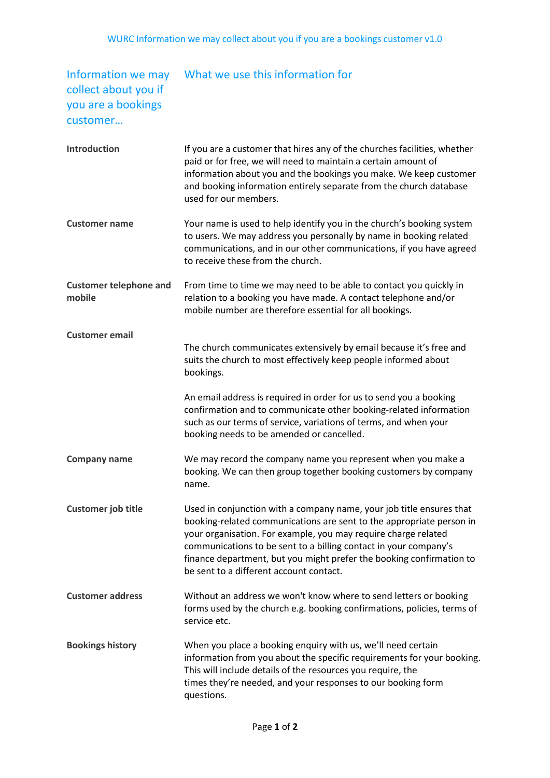## collect about you if you are a bookings customer…

## Information we may What we use this information for

| <b>Introduction</b>                     | If you are a customer that hires any of the churches facilities, whether<br>paid or for free, we will need to maintain a certain amount of<br>information about you and the bookings you make. We keep customer<br>and booking information entirely separate from the church database<br>used for our members.                                                                                        |
|-----------------------------------------|-------------------------------------------------------------------------------------------------------------------------------------------------------------------------------------------------------------------------------------------------------------------------------------------------------------------------------------------------------------------------------------------------------|
| <b>Customer name</b>                    | Your name is used to help identify you in the church's booking system<br>to users. We may address you personally by name in booking related<br>communications, and in our other communications, if you have agreed<br>to receive these from the church.                                                                                                                                               |
| <b>Customer telephone and</b><br>mobile | From time to time we may need to be able to contact you quickly in<br>relation to a booking you have made. A contact telephone and/or<br>mobile number are therefore essential for all bookings.                                                                                                                                                                                                      |
| <b>Customer email</b>                   |                                                                                                                                                                                                                                                                                                                                                                                                       |
|                                         | The church communicates extensively by email because it's free and<br>suits the church to most effectively keep people informed about<br>bookings.                                                                                                                                                                                                                                                    |
|                                         | An email address is required in order for us to send you a booking<br>confirmation and to communicate other booking-related information<br>such as our terms of service, variations of terms, and when your<br>booking needs to be amended or cancelled.                                                                                                                                              |
| <b>Company name</b>                     | We may record the company name you represent when you make a<br>booking. We can then group together booking customers by company<br>name.                                                                                                                                                                                                                                                             |
| <b>Customer job title</b>               | Used in conjunction with a company name, your job title ensures that<br>booking-related communications are sent to the appropriate person in<br>your organisation. For example, you may require charge related<br>communications to be sent to a billing contact in your company's<br>finance department, but you might prefer the booking confirmation to<br>be sent to a different account contact. |
| <b>Customer address</b>                 | Without an address we won't know where to send letters or booking<br>forms used by the church e.g. booking confirmations, policies, terms of<br>service etc.                                                                                                                                                                                                                                          |
| <b>Bookings history</b>                 | When you place a booking enquiry with us, we'll need certain<br>information from you about the specific requirements for your booking.<br>This will include details of the resources you require, the<br>times they're needed, and your responses to our booking form<br>questions.                                                                                                                   |